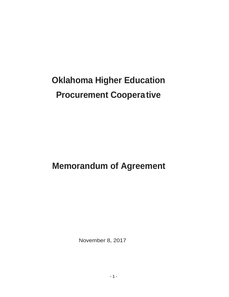# **Oklahoma Higher Education Procurement Cooperative**

**Memorandum of Agreement** 

November 8, 2017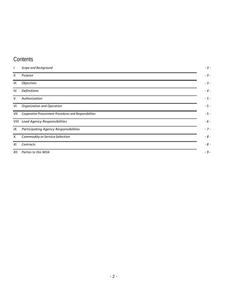## **Contents**

| I.   | Scope and Background                                         |
|------|--------------------------------------------------------------|
| II.  | Purpose                                                      |
| III. | <b>Objectives</b>                                            |
| IV.  | Definitions                                                  |
| V.   | Authorization                                                |
| VI.  | Organization and Operation                                   |
|      | VII. Cooperative Procurement Procedures and Responsibilities |
|      | VIII. Lead Agency Responsibilities                           |
|      | IX. Participating Agency Responsibilities                    |
| X.   | Commodity or Service Selection                               |
| XI.  | Contracts                                                    |
|      | XII. Parties to this MOA                                     |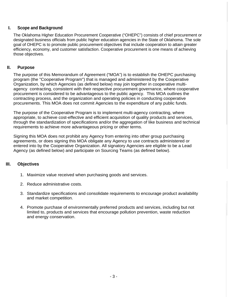#### **I. Scope and Background**

<span id="page-2-0"></span>The Oklahoma Higher Education Procurement Cooperative ("OHEPC") consists of chief procurement or designated business officials from public higher education agencies in the State of Oklahoma. The sole goal of OHEPC is to promote public procurement objectives that include cooperation to attain greater efficiency, economy, and customer satisfaction. Cooperative procurement is one means of achieving those objectives.

#### <span id="page-2-1"></span>**II. Purpose**

The purpose of this Memorandum of Agreement ("MOA") is to establish the OHEPC purchasing program (the "Cooperative Program") that is managed and administered by the Cooperative Organization, by which Agencies (as defined below) may join together in cooperative multiagency contracting, consistent with their respective procurement governance, where cooperative procurement is considered to be advantageous to the public agency. This MOA outlines the contracting process, and the organization and operating policies in conducting cooperative procurements. This MOA does not commit Agencies to the expenditure of any public funds.

The purpose of the Cooperative Program is to implement multi-agency contracting, where appropriate, to achieve cost-effective and efficient acquisition of quality products and services, through the standardization of specifications and/or the aggregation of like business and technical requirements to achieve more advantageous pricing or other terms.

Signing this MOA does not prohibit any Agency from entering into other group purchasing agreements, or does signing this MOA obligate any Agency to use contracts administered or entered into by the Cooperative Organization. All signatory Agencies are eligible to be a Lead Agency (as defined below) and participate on Sourcing Teams (as defined below).

#### <span id="page-2-2"></span>**III. Objectives**

- 1. Maximize value received when purchasing goods and services.
- 2. Reduce administrative costs.
- 3. Standardize specifications and consolidate requirements to encourage product availability and market competition.
- 4. Promote purchase of environmentally preferred products and services, including but not limited to, products and services that encourage pollution prevention, waste reduction and energy conservation.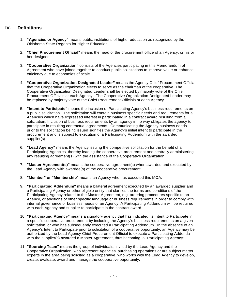#### <span id="page-3-0"></span>**IV. Definitions**

- 1. **"Agencies or Agency"** means public institutions of higher education as recognized by the Oklahoma State Regents for Higher Education.
- 2. **"Chief Procurement Official"** means the head of the procurement office of an Agency, or his or her designee.
- 3. **"Cooperative Organization"** consists of the Agencies participating in this Memorandum of Agreement who have joined together to conduct public solicitations to improve value or enhance efficiency due to economies of scale.
- 4. **"Cooperative Organization Designated Leader"** means the Agency Chief Procurement Official that the Cooperative Organization elects to serve as the chairman of the cooperative. The Cooperative Organization Designated Leader shall be elected by majority vote of the Chief Procurement Officials at each Agency. The Cooperative Organization Designated Leader may be replaced by majority vote of the Chief Procurement Officials at each Agency.
- 5. **"Intent to Participate"** means the inclusion of Participating Agency's business requirements on a public solicitation. The solicitation will contain business specific needs and requirements for all Agencies which have expressed interest in participating in a contract award resulting from a solicitation. Inclusion of business requirements by an agency in no way obligates the agency to participate in resulting contractual agreements. Communicating the Agency business needs prior to the solicitation being issued signifies the Agency's initial intent to participate in the procurement and is subject to execution of a Participating Addendum with the awarded supplier(s).
- 6. **"Lead Agency"** means the Agency issuing the competitive solicitation for the benefit of all Participating Agencies, thereby leading the cooperative procurement and centrally administering any resulting agreement(s) with the assistance of the Cooperative Organization.
- 7. **"Master Agreement(s)"** means the cooperative agreement(s) when awarded and executed by the Lead Agency with awardee(s) of the cooperative procurement.
- 8. **"Member" or "Membership"** means an Agency who has executed this MOA.
- 9. **"Participating Addendum"** means a bilateral agreement executed by an awarded supplier and a Participating Agency or other eligible entity that clarifies the terms and conditions of the Participating Agency related to the Master Agreement, e.g. ordering procedures specific to an Agency, or additions of other specific language or business requirements in order to comply with internal governance or business needs of an Agency. A Participating Addendum will be required with each Agency and supplier to participate in the contract award.
- 10. **"Participating Agency"** means a signatory agency that has indicated its Intent to Participate in a specific cooperative procurement by including the Agency's business requirements on a given solicitation, or who has subsequently executed a Participating Addendum. In the absence of an Agency's Intent to Participate prior to solicitation of a cooperative opportunity, an Agency may be authorized by the Lead Agency Chief Procurement Official to execute a Participating Addenda with the supplier(s) awarded a Master Agreement, thus becoming a "Participating Agency''.
- 11. **"Sourcing Team"** means the group of individuals, invited by the Lead Agency and the Cooperative Organization, who represent Agencies' purchasing operations or are subject matter experts in the area being solicited as a cooperative, who works with the Lead Agency to develop, create, evaluate, award and manage the cooperative opportunity.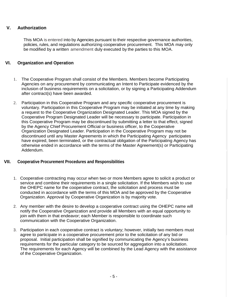#### <span id="page-4-0"></span>**V. Authorization**

This MOA is entered into by Agencies pursuant to their respective governance authorities, policies, rules, and regulations authorizing cooperative procurement. This MOA may only be modified by a written amendment duly executed by the parties to this MOA.

#### <span id="page-4-1"></span>**VI. Organization and Operation**

- 1. The Cooperative Program shall consist of the Members. Members become Participating Agencies on any procurement by communicating an Intent to Participate evidenced by the inclusion of business requirements on a solicitation, or by signing a Participating Addendum after contract(s) have been awarded.
- 2. Participation in this Cooperative Program and any specific cooperative procurement is voluntary. Participation in this Cooperative Program may be initiated at any time by making a request to the Cooperative Organization Designated Leader. This MOA signed by the Cooperative Program Designated Leader will be necessary to participate. Participation in this Cooperative Program may be discontinued by submitting a letter to that effect, signed by the Agency Chief Procurement Official or business officer, to the Cooperative Organization Designated Leader. Participation in the Cooperative Program may not be discontinued until any Master Agreements in which the Participating Agency participates have expired, been terminated, or the contractual obligation of the Participating Agency has otherwise ended in accordance with the terms of the Master Agreement(s) or Participating Addendum.

#### <span id="page-4-2"></span>**VII. Cooperative Procurement Procedures and Responsibilities**

- 1. Cooperative contracting may occur when two or more Members agree to solicit a product or service and combine their requirements in a single solicitation. If the Members wish to use the OHEPC name for the cooperative contract, the solicitation and process must be conducted in accordance with the terms of this MOA and be approved by the Cooperative Organization. Approval by Cooperative Organization is by majority vote.
- 2. Any member with the desire to develop a cooperative contract using the OHEPC name will notify the Cooperative Organization and provide all Members with an equal opportunity to join with them in that endeavor; each Member is responsible to coordinate such communication with the Cooperative Organization.
- 3. Participation in each cooperative contract is voluntary; however, initially two members must agree to participate in a cooperative procurement prior to the solicitation of any bid or proposal. Initial participation shall be signified by communicating the Agency's business requirements for the particular category to be sourced for aggregation into a solicitation. The requirements for each Agency will be combined by the Lead Agency with the assistance of the Cooperative Organization.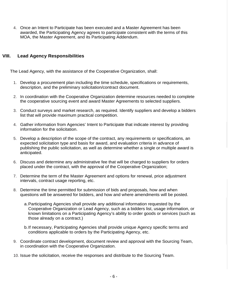4. Once an Intent to Participate has been executed and a Master Agreement has been awarded, the Participating Agency agrees to participate consistent with the terms of this MOA, the Master Agreement, and its Participating Addendum.

#### <span id="page-5-0"></span>**VIII. Lead Agency Responsibilities**

The Lead Agency, with the assistance of the Cooperative Organization, shall:

- 1. Develop a procurement plan including the time schedule, specifications or requirements, description, and the preliminary solicitation/contract document.
- 2. In coordination with the Cooperative Organization determine resources needed to complete the cooperative sourcing event and award Master Agreements to selected suppliers.
- 3. Conduct surveys and market research, as required. Identify suppliers and develop a bidders list that will provide maximum practical competition.
- 4. Gather information from Agencies' Intent to Participate that indicate interest by providing information for the solicitation.
- 5. Develop a description of the scope of the contract, any requirements or specifications, an expected solicitation type and basis for award, and evaluation criteria in advance of publishing the public solicitation, as well as determine whether a single or multiple award is anticipated.
- 6. Discuss and determine any administrative fee that will be charged to suppliers for orders placed under the contract, with the approval of the Cooperative Organization;
- 7. Determine the term of the Master Agreement and options for renewal, price adjustment intervals, contract usage reporting, etc.
- 8. Determine the time permitted for submission of bids and proposals, how and when questions will be answered for bidders, and how and where amendments will be posted.
	- a.Participating Agencies shall provide any additional information requested by the Cooperative Organization or Lead Agency, such as a bidders list, usage information, or known limitations on a Participating Agency's ability to order goods or services (such as those already on a contract.)
	- b.If necessary, Participating Agencies shall provide unique Agency specific terms and conditions applicable to orders by the Participating Agency, etc.
- 9. Coordinate contract development, document review and approval with the Sourcing Team, in coordination with the Cooperative Organization.
- 10. Issue the solicitation, receive the responses and distribute to the Sourcing Team.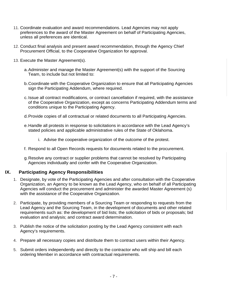- 11. Coordinate evaluation and award recommendations. Lead Agencies may not apply preferences to the award of the Master Agreement on behalf of Participating Agencies, unless all preferences are identical.
- 12. Conduct final analysis and present award recommendation, through the Agency Chief Procurement Official, to the Cooperative Organization for approval.
- 13. Execute the Master Agreement(s).
	- a.Administer and manage the Master Agreement(s) with the support of the Sourcing Team, to include but not limited to:
	- b.Coordinate with the Cooperative Organization to ensure that all Participating Agencies sign the Participating Addendum, where required.
	- c. Issue all contract modifications, or contract cancellation if required, with the assistance of the Cooperative Organization, except as concerns Participating Addendum terms and conditions unique to the Participating Agency.
	- d.Provide copies of all contractual or related documents to all Participating Agencies.
	- e.Handle all protests in response to solicitations in accordance with the Lead Agency's stated policies and applicable administrative rules of the State of Oklahoma.
		- i. Advise the cooperative organization of the outcome of the protest.
	- f. Respond to all Open Records requests for documents related to the procurement.
	- g.Resolve any contract or supplier problems that cannot be resolved by Participating Agencies individually and confer with the Cooperative Organization.

#### **IX. Participating Agency Responsibilities**

- <span id="page-6-0"></span>1. Designate, by vote of the Participating Agencies and after consultation with the Cooperative Organization, an Agency to be known as the Lead Agency, who on behalf of all Participating Agencies will conduct the procurement and administer the awarded Master Agreement (s) with the assistance of the Cooperative Organization.
- 2. Participate, by providing members of a Sourcing Team or responding to requests from the Lead Agency and the Sourcing Team, in the development of documents and other related requirements such as: the development of bid lists; the solicitation of bids or proposals; bid evaluation and analysis; and contract award determination.
- 3. Publish the notice of the solicitation posting by the Lead Agency consistent with each Agency's requirements.
- 4. Prepare all necessary copies and distribute them to contract users within their Agency.
- 5. Submit orders independently and directly to the contractor who will ship and bill each ordering Member in accordance with contractual requirements.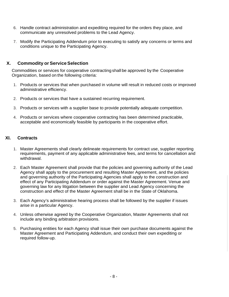- 6. Handle contract administration and expediting required for the orders they place, and communicate any unresolved problems to the Lead Agency.
- 7. Modify the Participating Addendum prior to executing to satisfy any concerns or terms and conditions unique to the Participating Agency.

#### <span id="page-7-0"></span>**X. Commodity or ServiceSelection**

Commodities or services for cooperative contracting shall be approved by the Cooperative Organization, based on the following criteria:

- 1. Products or services that when purchased in volume will result in reduced costs or improved administrative efficiency.
- 2. Products or services that have a sustained recurring requirement.
- 3. Products or services with a supplier base to provide potentially adequate competition.
- 4. Products or services where cooperative contracting has been determined practicable, acceptable and economically feasible by participants in the cooperative effort.

#### <span id="page-7-1"></span>**XI. Contracts**

- 1. Master Agreements shall clearly delineate requirements for contract use, supplier reporting requirements, payment of any applicable administrative fees, and terms for cancellation and withdrawal.
- 2. Each Master Agreement shall provide that the policies and governing authority of the Lead Agency shall apply to the procurement and resulting Master Agreement, and the policies and governing authority of the Participating Agencies shall apply to the construction and effect of any Participating Addendum or order against the Master Agreement. Venue and governing law for any litigation between the supplier and Lead Agency concerning the construction and effect of the Master Agreement shall be in the State of Oklahoma.
- 3. Each Agency's administrative hearing process shall be followed by the supplier if issues arise in a particular Agency.
- 4. Unless otherwise agreed by the Cooperative Organization, Master Agreements shall not include any binding arbitration provisions.
- 5. Purchasing entities for each Agency shall issue their own purchase documents against the Master Agreement and Participating Addendum, and conduct their own expediting or required follow-up.